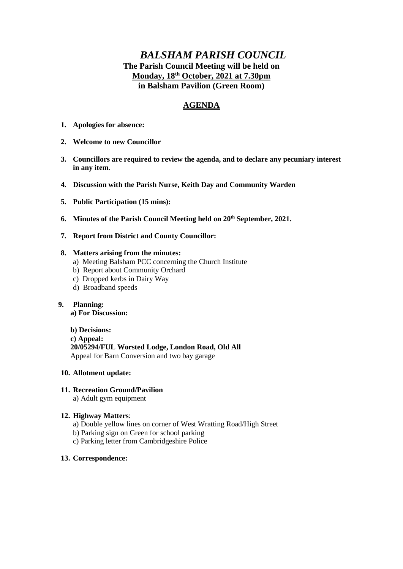# *BALSHAM PARISH COUNCIL* **The Parish Council Meeting will be held on Monday, 18th October, 2021 at 7.30pm in Balsham Pavilion (Green Room)**

# **AGENDA**

- **1. Apologies for absence:**
- **2. Welcome to new Councillor**
- **3. Councillors are required to review the agenda, and to declare any pecuniary interest in any item**.
- **4. Discussion with the Parish Nurse, Keith Day and Community Warden**
- **5. Public Participation (15 mins):**
- **6. Minutes of the Parish Council Meeting held on 20th September, 2021.**
- **7. Report from District and County Councillor:**

## **8. Matters arising from the minutes:**

- a) Meeting Balsham PCC concerning the Church Institute
- b) Report about Community Orchard
- c) Dropped kerbs in Dairy Way
- d) Broadband speeds

#### **9. Planning: a) For Discussion:**

**b) Decisions:**

- **c) Appeal:**
- **20/05294/FUL Worsted Lodge, London Road, Old All**

Appeal for Barn Conversion and two bay garage

# **10. Allotment update:**

# **11. Recreation Ground/Pavilion**

a) Adult gym equipment

## **12. Highway Matters**:

- a) Double yellow lines on corner of West Wratting Road/High Street
- b) Parking sign on Green for school parking
- c) Parking letter from Cambridgeshire Police

## **13. Correspondence:**